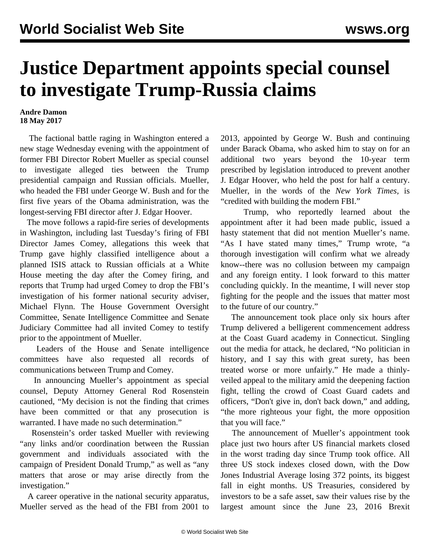## **Justice Department appoints special counsel to investigate Trump-Russia claims**

## **Andre Damon 18 May 2017**

 The factional battle raging in Washington entered a new stage Wednesday evening with the appointment of former FBI Director Robert Mueller as special counsel to investigate alleged ties between the Trump presidential campaign and Russian officials. Mueller, who headed the FBI under George W. Bush and for the first five years of the Obama administration, was the longest-serving FBI director after J. Edgar Hoover.

 The move follows a rapid-fire series of developments in Washington, including last Tuesday's firing of FBI Director James Comey, allegations this week that Trump gave highly classified intelligence about a planned ISIS attack to Russian officials at a White House meeting the day after the Comey firing, and reports that Trump had urged Comey to drop the FBI's investigation of his former national security adviser, Michael Flynn. The House Government Oversight Committee, Senate Intelligence Committee and Senate Judiciary Committee had all invited Comey to testify prior to the appointment of Mueller.

 Leaders of the House and Senate intelligence committees have also requested all records of communications between Trump and Comey.

 In announcing Mueller's appointment as special counsel, Deputy Attorney General Rod Rosenstein cautioned, "My decision is not the finding that crimes have been committed or that any prosecution is warranted. I have made no such determination."

 Rosenstein's order tasked Mueller with reviewing "any links and/or coordination between the Russian government and individuals associated with the campaign of President Donald Trump," as well as "any matters that arose or may arise directly from the investigation."

 A career operative in the national security apparatus, Mueller served as the head of the FBI from 2001 to 2013, appointed by George W. Bush and continuing under Barack Obama, who asked him to stay on for an additional two years beyond the 10-year term prescribed by legislation introduced to prevent another J. Edgar Hoover, who held the post for half a century. Mueller, in the words of the *New York Times,* is "credited with building the modern FBI."

 Trump, who reportedly learned about the appointment after it had been made public, issued a hasty statement that did not mention Mueller's name. "As I have stated many times," Trump wrote, "a thorough investigation will confirm what we already know--there was no collusion between my campaign and any foreign entity. I look forward to this matter concluding quickly. In the meantime, I will never stop fighting for the people and the issues that matter most to the future of our country."

 The announcement took place only six hours after Trump delivered a belligerent commencement address at the Coast Guard academy in Connecticut. Singling out the media for attack, he declared, "No politician in history, and I say this with great surety, has been treated worse or more unfairly." He made a thinlyveiled appeal to the military amid the deepening faction fight, telling the crowd of Coast Guard cadets and officers, "Don't give in, don't back down," and adding, "the more righteous your fight, the more opposition that you will face."

 The announcement of Mueller's appointment took place just two hours after US financial markets closed in the worst trading day since Trump took office. All three US stock indexes closed down, with the Dow Jones Industrial Average losing 372 points, its biggest fall in eight months. US Treasuries, considered by investors to be a safe asset, saw their values rise by the largest amount since the June 23, 2016 Brexit